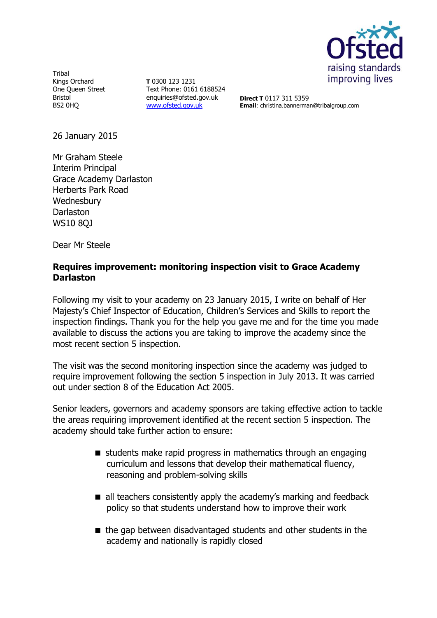

**Tribal** Kings Orchard One Queen Street Bristol BS2 0HQ

**T** 0300 123 1231 Text Phone: 0161 6188524 enquiries@ofsted.gov.uk [www.ofsted.gov.uk](http://www.ofsted.gov.uk/)

**Direct T** 0117 311 5359 **Email**: christina.bannerman@tribalgroup.com

26 January 2015

Mr Graham Steele Interim Principal Grace Academy Darlaston Herberts Park Road **Wednesbury Darlaston** WS10 8QJ

Dear Mr Steele

# **Requires improvement: monitoring inspection visit to Grace Academy Darlaston**

Following my visit to your academy on 23 January 2015, I write on behalf of Her Majesty's Chief Inspector of Education, Children's Services and Skills to report the inspection findings. Thank you for the help you gave me and for the time you made available to discuss the actions you are taking to improve the academy since the most recent section 5 inspection.

The visit was the second monitoring inspection since the academy was judged to require improvement following the section 5 inspection in July 2013. It was carried out under section 8 of the Education Act 2005.

Senior leaders, governors and academy sponsors are taking effective action to tackle the areas requiring improvement identified at the recent section 5 inspection. The academy should take further action to ensure:

- students make rapid progress in mathematics through an engaging curriculum and lessons that develop their mathematical fluency, reasoning and problem-solving skills
- all teachers consistently apply the academy's marking and feedback policy so that students understand how to improve their work
- the gap between disadvantaged students and other students in the academy and nationally is rapidly closed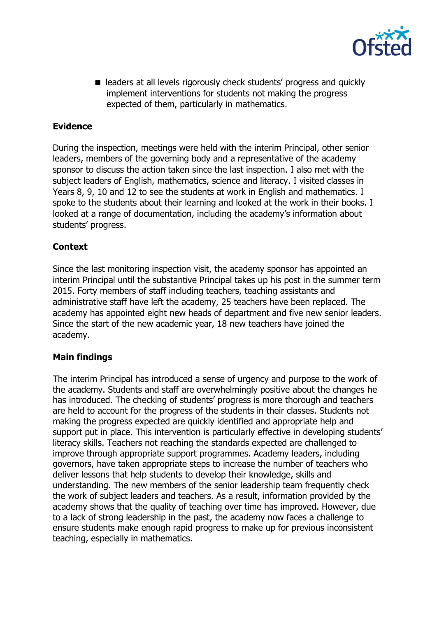

■ leaders at all levels rigorously check students' progress and quickly implement interventions for students not making the progress expected of them, particularly in mathematics.

# **Evidence**

During the inspection, meetings were held with the interim Principal, other senior leaders, members of the governing body and a representative of the academy sponsor to discuss the action taken since the last inspection. I also met with the subject leaders of English, mathematics, science and literacy. I visited classes in Years 8, 9, 10 and 12 to see the students at work in English and mathematics. I spoke to the students about their learning and looked at the work in their books. I looked at a range of documentation, including the academy's information about students' progress.

# **Context**

Since the last monitoring inspection visit, the academy sponsor has appointed an interim Principal until the substantive Principal takes up his post in the summer term 2015. Forty members of staff including teachers, teaching assistants and administrative staff have left the academy, 25 teachers have been replaced. The academy has appointed eight new heads of department and five new senior leaders. Since the start of the new academic year, 18 new teachers have joined the academy.

### **Main findings**

The interim Principal has introduced a sense of urgency and purpose to the work of the academy. Students and staff are overwhelmingly positive about the changes he has introduced. The checking of students' progress is more thorough and teachers are held to account for the progress of the students in their classes. Students not making the progress expected are quickly identified and appropriate help and support put in place. This intervention is particularly effective in developing students' literacy skills. Teachers not reaching the standards expected are challenged to improve through appropriate support programmes. Academy leaders, including governors, have taken appropriate steps to increase the number of teachers who deliver lessons that help students to develop their knowledge, skills and understanding. The new members of the senior leadership team frequently check the work of subject leaders and teachers. As a result, information provided by the academy shows that the quality of teaching over time has improved. However, due to a lack of strong leadership in the past, the academy now faces a challenge to ensure students make enough rapid progress to make up for previous inconsistent teaching, especially in mathematics.